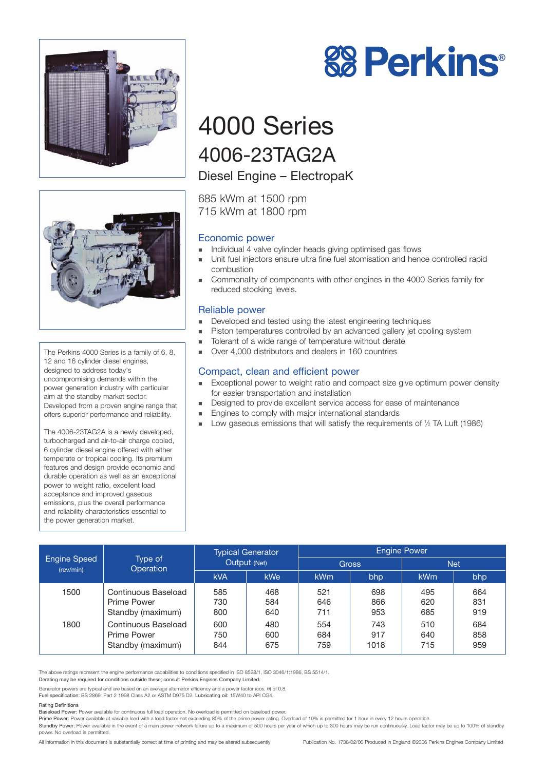



The Perkins 4000 Series is a family of 6, 8, 12 and 16 cylinder diesel engines, designed to address today's uncompromising demands within the power generation industry with particular aim at the standby market sector. Developed from a proven engine range that offers superior performance and reliability.

The 4006-23TAG2A is a newly developed, turbocharged and air-to-air charge cooled, 6 cylinder diesel engine offered with either temperate or tropical cooling. Its premium features and design provide economic and durable operation as well as an exceptional power to weight ratio, excellent load acceptance and improved gaseous emissions, plus the overall performance and reliability characteristics essential to the power generation market.



# 4000 Series 4006-23TAG2A

## Diesel Engine – ElectropaK

685 kWm at 1500 rpm 715 kWm at 1800 rpm

## Economic power

- ! Individual 4 valve cylinder heads giving optimised gas flows
- ! Unit fuel injectors ensure ultra fine fuel atomisation and hence controlled rapid combustion
- ! Commonality of components with other engines in the 4000 Series family for reduced stocking levels.

#### Reliable power

- **EXECUTE:** Developed and tested using the latest engineering techniques
- ! Piston temperatures controlled by an advanced gallery jet cooling system
- ! Tolerant of a wide range of temperature without derate
- Over 4,000 distributors and dealers in 160 countries

## Compact, clean and efficient power

- Exceptional power to weight ratio and compact size give optimum power density for easier transportation and installation
- Designed to provide excellent service access for ease of maintenance
- **Engines to comply with major international standards**
- Low gaseous emissions that will satisfy the requirements of 1/2 TA Luft (1986)

| <b>Engine Speed</b><br>(rev/min) | Type of<br><b>Operation</b>                                    | <b>Typical Generator</b><br>Output (Net) |                   | <b>Engine Power</b> |                    |                   |                   |
|----------------------------------|----------------------------------------------------------------|------------------------------------------|-------------------|---------------------|--------------------|-------------------|-------------------|
|                                  |                                                                |                                          |                   | <b>Gross</b>        |                    | <b>Net</b>        |                   |
|                                  |                                                                | <b>kVA</b>                               | <b>kWe</b>        | <b>kWm</b>          | bhp                | <b>kWm</b>        | bhp               |
| 1500                             | Continuous Baseload<br>Prime Power<br>Standby (maximum)        | 585<br>730<br>800                        | 468<br>584<br>640 | 521<br>646<br>711   | 698<br>866<br>953  | 495<br>620<br>685 | 664<br>831<br>919 |
| 1800                             | Continuous Baseload<br><b>Prime Power</b><br>Standby (maximum) | 600<br>750<br>844                        | 480<br>600<br>675 | 554<br>684<br>759   | 743<br>917<br>1018 | 510<br>640<br>715 | 684<br>858<br>959 |

The above ratings represent the engine performance capabilities to conditions specified in ISO 8528/1, ISO 3046/1:1986, BS 5514/1.

Derating may be required for conditions outside these; consult Perkins Engines Company Limited.

Generator powers are typical and are based on an average alternator efficiency and a power factor (cos. θ) of 0.8. Fuel specification: BS 2869: Part 2 1998 Class A2 or ASTM D975 D2. Lubricating oil: 15W40 to API CG4.

#### Rating Definitions

Baseload Power: Power available for continuous full load operation. No overload is permitted on baseload power.

Prime Power: Power available at variable load with a load factor not exceeding 80% of the prime power rating. Overload of 10% is permitted for 1 hour in every 12 hours operation.

Standby Power: Power available in the event of a main power network failure up to a maximum of 500 hours per year of which up to 300 hours may be run continuously. Load factor may be up to 100% of standby power. No overload is permitted.

All information in this document is substantially correct at time of printing and may be altered subsequently Publication No. 1738/02/06 Produced in England ©2006 Perkins Engines Company Limited